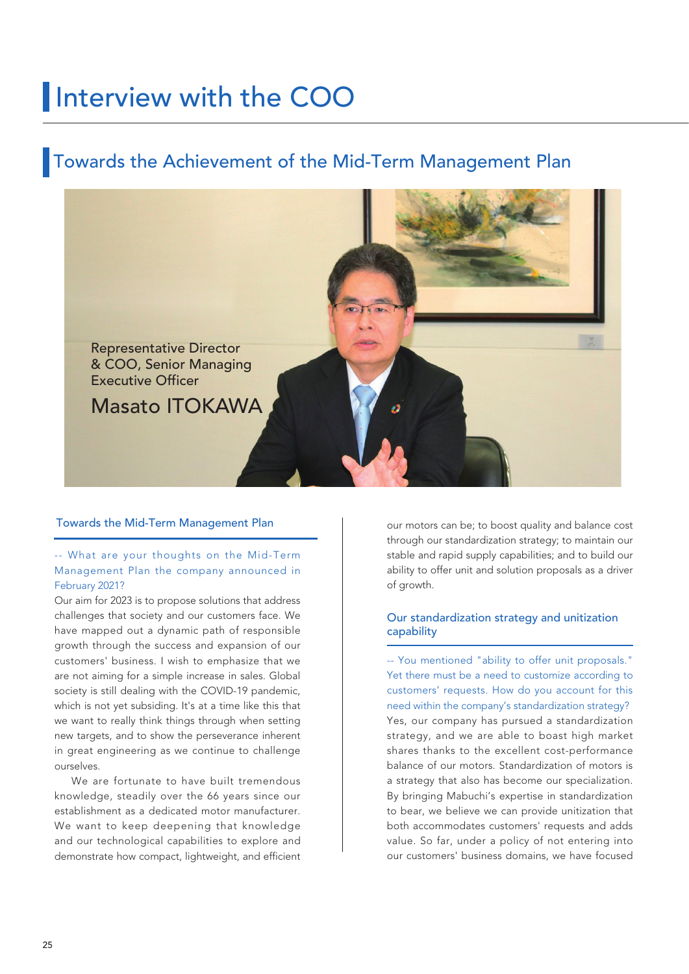## Interview with the COO

### Towards the Achievement of the Mid-Term Management Plan



### Towards the Mid-Term Management Plan

### -- What are your thoughts on the Mid-Term Management Plan the company announced in February 2021?

Our aim for 2023 is to propose solutions that address challenges that society and our customers face. We have mapped out a dynamic path of responsible growth through the success and expansion of our customers' business. I wish to emphasize that we are not aiming for a simple increase in sales. Global society is still dealing with the COVID-19 pandemic, which is not yet subsiding. It's at a time like this that we want to really think things through when setting new targets, and to show the perseverance inherent in great engineering as we continue to challenge ourselves.

 We are fortunate to have built tremendous knowledge, steadily over the 66 years since our establishment as a dedicated motor manufacturer. We want to keep deepening that knowledge and our technological capabilities to explore and demonstrate how compact, lightweight, and efficient

our motors can be; to boost quality and balance cost through our standardization strategy; to maintain our stable and rapid supply capabilities; and to build our ability to offer unit and solution proposals as a driver of growth.

### Our standardization strategy and unitization capability

-- You mentioned "ability to offer unit proposals." Yet there must be a need to customize according to customers' requests. How do you account for this need within the company's standardization strategy? Yes, our company has pursued a standardization strategy, and we are able to boast high market shares thanks to the excellent cost-performance balance of our motors. Standardization of motors is a strategy that also has become our specialization. By bringing Mabuchi's expertise in standardization to bear, we believe we can provide unitization that both accommodates customers' requests and adds value. So far, under a policy of not entering into our customers' business domains, we have focused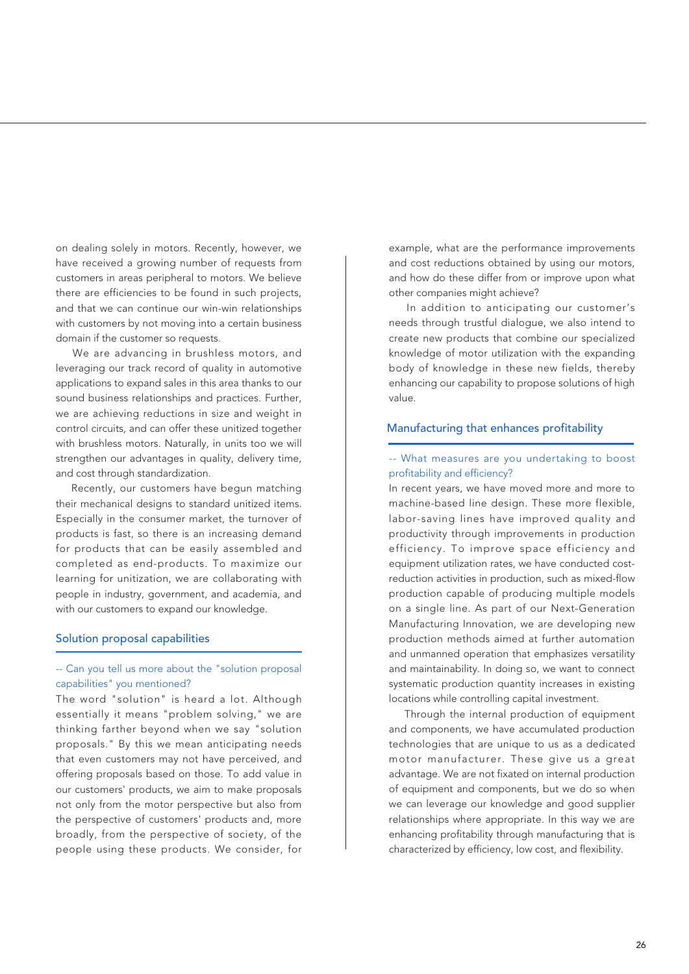on dealing solely in motors. Recently, however, we have received a growing number of requests from customers in areas peripheral to motors. We believe there are efficiencies to be found in such projects, and that we can continue our win-win relationships with customers by not moving into a certain business domain if the customer so requests.

 We are advancing in brushless motors, and leveraging our track record of quality in automotive applications to expand sales in this area thanks to our sound business relationships and practices. Further, we are achieving reductions in size and weight in control circuits, and can offer these unitized together with brushless motors. Naturally, in units too we will strengthen our advantages in quality, delivery time, and cost through standardization.

 Recently, our customers have begun matching their mechanical designs to standard unitized items. Especially in the consumer market, the turnover of products is fast, so there is an increasing demand for products that can be easily assembled and completed as end-products. To maximize our learning for unitization, we are collaborating with people in industry, government, and academia, and with our customers to expand our knowledge.

### Solution proposal capabilities

### -- Can you tell us more about the "solution proposal capabilities" you mentioned?

The word "solution" is heard a lot. Although essentially it means "problem solving," we are thinking farther beyond when we say "solution proposals." By this we mean anticipating needs that even customers may not have perceived, and offering proposals based on those. To add value in our customers' products, we aim to make proposals not only from the motor perspective but also from the perspective of customers' products and, more broadly, from the perspective of society, of the people using these products. We consider, for example, what are the performance improvements and cost reductions obtained by using our motors, and how do these differ from or improve upon what other companies might achieve?

 In addition to anticipating our customer's needs through trustful dialogue, we also intend to create new products that combine our specialized knowledge of motor utilization with the expanding body of knowledge in these new fields, thereby enhancing our capability to propose solutions of high value.

### Manufacturing that enhances profitability

### -- What measures are you undertaking to boost profitability and efficiency?

In recent years, we have moved more and more to machine-based line design. These more flexible, labor-saving lines have improved quality and productivity through improvements in production efficiency. To improve space efficiency and equipment utilization rates, we have conducted costreduction activities in production, such as mixed-flow production capable of producing multiple models on a single line. As part of our Next-Generation Manufacturing Innovation, we are developing new production methods aimed at further automation and unmanned operation that emphasizes versatility and maintainability. In doing so, we want to connect systematic production quantity increases in existing locations while controlling capital investment.

 Through the internal production of equipment and components, we have accumulated production technologies that are unique to us as a dedicated motor manufacturer. These give us a great advantage. We are not fixated on internal production of equipment and components, but we do so when we can leverage our knowledge and good supplier relationships where appropriate. In this way we are enhancing profitability through manufacturing that is characterized by efficiency, low cost, and flexibility.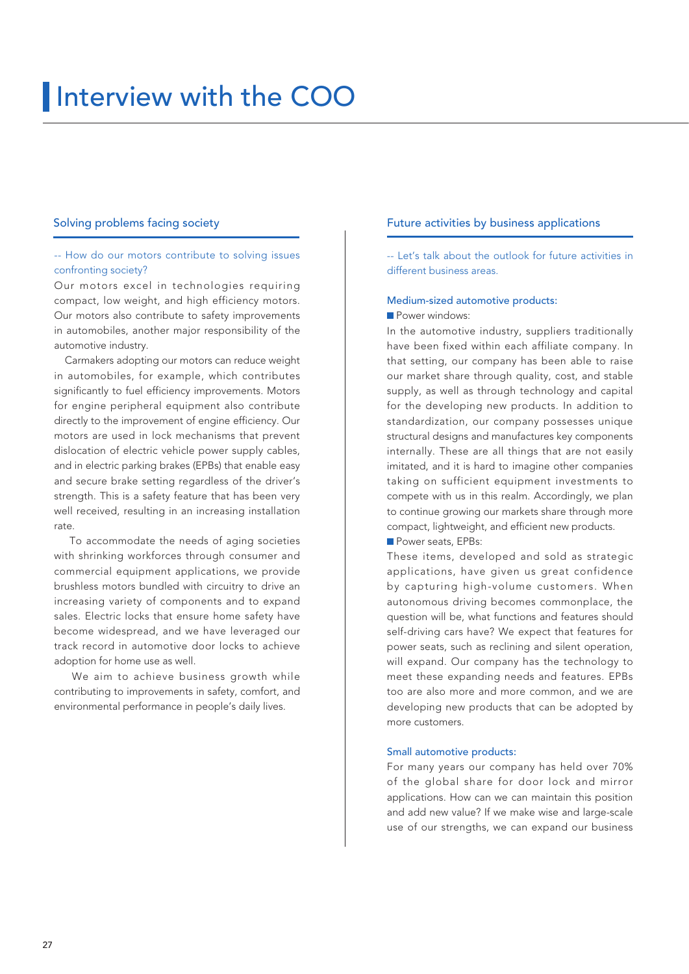# Interview with the COO

### -- How do our motors contribute to solving issues confronting society?

Our motors excel in technologies requiring compact, low weight, and high efficiency motors. Our motors also contribute to safety improvements in automobiles, another major responsibility of the automotive industry.

 Carmakers adopting our motors can reduce weight in automobiles, for example, which contributes significantly to fuel efficiency improvements. Motors for engine peripheral equipment also contribute directly to the improvement of engine efficiency. Our motors are used in lock mechanisms that prevent dislocation of electric vehicle power supply cables, and in electric parking brakes (EPBs) that enable easy and secure brake setting regardless of the driver's strength. This is a safety feature that has been very well received, resulting in an increasing installation rate.

 To accommodate the needs of aging societies with shrinking workforces through consumer and commercial equipment applications, we provide brushless motors bundled with circuitry to drive an increasing variety of components and to expand sales. Electric locks that ensure home safety have become widespread, and we have leveraged our track record in automotive door locks to achieve adoption for home use as well.

 We aim to achieve business growth while contributing to improvements in safety, comfort, and environmental performance in people's daily lives.

### Solving problems facing society **Future activities by business applications**

-- Let's talk about the outlook for future activities in different business areas.

### Medium-sized automotive products:

**Power windows:** 

In the automotive industry, suppliers traditionally have been fixed within each affiliate company. In that setting, our company has been able to raise our market share through quality, cost, and stable supply, as well as through technology and capital for the developing new products. In addition to standardization, our company possesses unique structural designs and manufactures key components internally. These are all things that are not easily imitated, and it is hard to imagine other companies taking on sufficient equipment investments to compete with us in this realm. Accordingly, we plan to continue growing our markets share through more compact, lightweight, and efficient new products.

**Power seats, EPBs:** 

These items, developed and sold as strategic applications, have given us great confidence by capturing high-volume customers. When autonomous driving becomes commonplace, the question will be, what functions and features should self-driving cars have? We expect that features for power seats, such as reclining and silent operation, will expand. Our company has the technology to meet these expanding needs and features. EPBs too are also more and more common, and we are developing new products that can be adopted by more customers.

### Small automotive products:

For many years our company has held over 70% of the global share for door lock and mirror applications. How can we can maintain this position and add new value? If we make wise and large-scale use of our strengths, we can expand our business